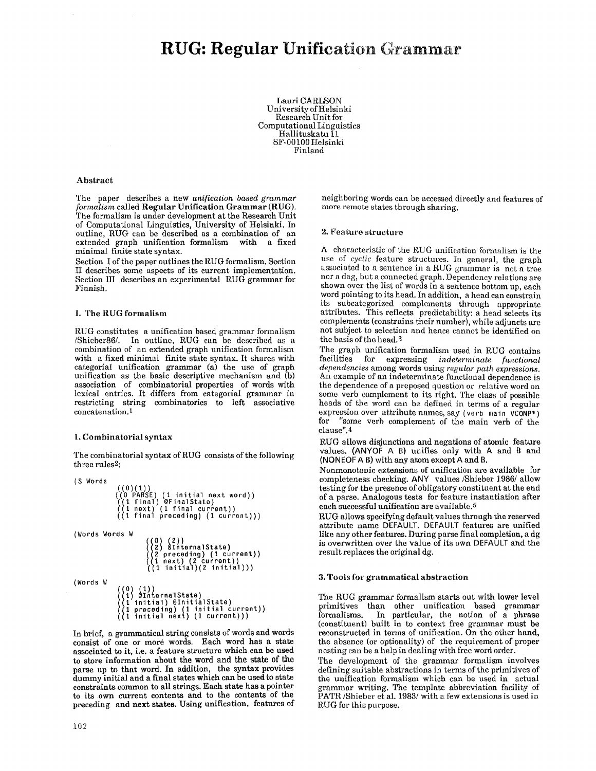Lauri CARLSON University of Helsinki Research Unit tbr Computational Linguistics Hallituskatu I1 SF-00100 Helsinki Finland

## Abstract

The paper describes a new *unification based grammar formalism* called Regular Unification Grammar (RUG). The formalism is under development at the Research Unit of Computational Linguistics, University of Helsinki, In outline, RUG can be described as a combination of an extended graph unification formalism with a fixed minimal finite state syntax.

Section I of the paper outlines the RUG formalism. Section II describes some aspects of its current implementation. Section III describes an experimental RUG grammar for Finnish.

## I. The RUG formalism

RUG constitutes a unification based grammar formalism /Shieber86/. In outline, RUG can be described as a combination of an extended graph unification formalism with a fixed minimal finite state syntax. It shares with categorial unification grammar (a) the use of graph unification as the basic descriptive mechanism and (b) association of combinatorial properties of words with lexical entries. It differs from categorial grammar in restricting string combinatorics to left associative concatenation.1

## 1, Combinatorial syntax

The combinatorial syntax of RUG consists of the following three rules2:

```
(S Words 
                              ((0)(1))<br>((0 PARSE) (1 initial next word))<br>((1 final) @FinalState)<br>((1 final preceding) (1 current)))
(Words Words W 
                                                    ((0) (2))<br>I(2) @InternalState)<br>((2 preceding) (1 cu<br>((1 initial)(2 initi
                                                     (2 preceding) (1 current)) 
(I next) (2 current)) ((1 initial)(2 initial))) 
(Words W 
                                ((0) (1))<br>((1) @InternalState)<br>((1 initial) @InitialState)<br>((1 preceding) (1 initial current))<br>((1 initial next) (1 current)))
```
In brief, a grammatical string consists of words and words consist of one or more words. Each word has a state associated to it, i.e. a feature structure which can be used to store information about the word and the state of the parse up to that word. In addition, the syntax provides dummy initial and a final states which can be used to state constraints common to all strings. Each state has a pointer to its own current contents and to the contents of the preceding and next states. Using unification, features of neighboring words can be accessed directly and features of more remote states through sharing.

# 2. Feature structure

A characteristic of the RUG unification formalism is the use of *cyclic* feature structures, in general, the graph associated to a sentence in a RUG grammar is not a tree nor a dag, but a connected graph. Dependency relations are shown over the list of words in a sentence bottom up, each word pointing to its head. In addition, a head can constrain its subcategorized complements through appropriate attributes. This reflects predictability: a head selects its complements (constrains their number), while adjuncts are not subject to selection and hence cannot be identified on the basis of the head.3

The graph unification formalism used in RUG contains facilities for expressing *indeterminate functional* facilities tbr expressing *indeterminate functional dependencies* among words using *regular path expressions.*  An example of an indeterminate functional dependence is the dependence of a preposed question or relative word on some verb complement to its right. The class of possible heads of the word can be defined in terms of a regular expression over attribute names, say (verb main VCOMP\*) for "some verb complement of the main verb of the clause".4

RUG allows disjunctions and negations of atomic feature values. (ANYOF A B) unifies only with A and B and (NONEOF A B) with any atom except A and B.

Nonmonotonic extensions of unification are available for completeness checking. ANY values /Shieber 1986/ allow testing for the presence of obligatory constituent at the end of a parse. Analogous tests for feature instantiation after each successful unification are available.5

RUG allows specifying default values through the reserved attribute name DEFAULT. DEFAULT features are unified like any other features. During parse final completion, a dg is overwritten over the value of its own DEFAULT and the result replaces the original dg.

# 3. Tools for grammatical abstraction

The RUG grammar formalism starts out with lower level primitives than other unification based grammar<br>formalisms. In particular, the notion of a phrase In particular, the notion of a phrase (constituent) built in to context free grammar must be reconstructed in terms of unification. On the other hand, the absence (or optionality) of the requirement of proper nesting can be a help in dealing with free word order.

The development of the grammar formalism involves defining suitable abstractions in terms of the primitives of the unification formalism which can be used in actual grammar writing. The template abbreviation facility of' PATR/Shieber et al. 1983/with a few extensions is used in RUG for this purpose.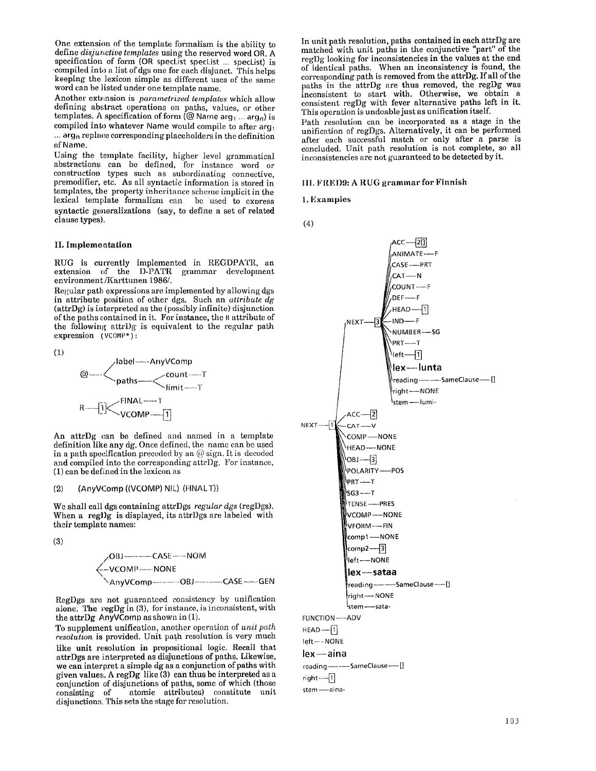One extension of the template formalism is the ability to define *disjunctive templates* using the reserved word OR. A specification of form (OR specList specList ... specList) is compiled into a list of dgs one for each disjunct. This helps keeping the lexicon simple as different uses of the same word can be listed under one template name.

Another extension is *parametrized templates* which allow defining abstract operations on paths, values, or other templates. A specification of form ( $@$  Name arg<sub>1</sub> ... arg<sub>n</sub>) is compiled into whatever Name would compile to after arg $\sim$  $\ldots$  arg<sub>n</sub> replace corresponding placeholders in the definition of Name.

Using the template facility, higher level gramnmtical abstractions can be defined, for instance word or construction types such as subordinating connective, premodifier, etc. As all syntactic information is stored in templates, the property inheritance scheme implicit in the lexical template formalism can be used to express syntactic generalizations (say, to define a set of related clause types).

# II. **Implemeatation**

RUG is currently implemented in REGDPATR, an extension of the D-PATR grammar development environment/Karttunen 1986/.

Regular path expressions are implemented by allowing dgs in attribute position of other dgs. Such an *attribute dg*  (attrDg) is in terpreted as the (possibly infinite) disjunction of the paths contained in it. For instance, the R attribute of the following attrDg is equivalent to the regular path expression (VCOMP\*):

(1)

$$
\text{\textcopyright}\xspace--{\text{AngleI}\xspace--{\text{AnyVComp}}_{\text{count---T}}}
$$
\n
$$
\text{R}\xspace--{\text{FINAL}\xspace--{\text{T}}_{\text{limit---T}}}
$$
\n
$$
\text{R}\xspace--{\text{i}}<{\text{FINAL}\xspace--{\text{T}}_{\text{VCOMP}\xspace--{\text{T}}}}
$$

An attrDg can be defined and named in a template definition like any dg. Once defined, the name can be used in a path specification preceded by an  $@$  sign. It is decoded and compiled into the corresponding attrDg. For instance, (1) can be defined in the lexicon as

## (2) (AnyVComp ((VCOMP) NIL) (FINALT))

We shall call dgs containing attrDgs *regular dgs* (regDgs). When a reglig is displayed, its attrigs are labeled with their template names:

(3)

/OBJ ...... CASE .... NOM **~** -VCOMP---NONE \AnyVComp ..... OBJ ..... CASE ---.GEN

RegDgs are not guaranteed consistency by unification alone. The regDg in (3), for instance, is inconsistent, with the attr $\log$  Any VComp as shown in (1).

To supplement unification, another operation of *unit path resolution* is provided. Unit path resolution is very much like unit resolution in propositional logic. Recall that attrDgs are interpreted as disjunctions of paths. Likewise, we can interpret a simple dg as a conjunction of paths with given values. A regDg like (3) can thus be interpreted as a conjunction of disjunctions of paths, some of which (those consisting of atomic attributes) constitute unit atomic attributes) constitute unit disjunctions. This sets the stage for resolution.

In unit path resolution, paths contained in each attrDg are matched with unit paths in the conjunctive "part" of the regDg looking for inconsistencies in the values at the end of identical paths. When an inconsistency is found, the corresponding path is removed from the attrDg. If all of the paths in the attrDg are thus removed, the regDg was inconsistent to start with. Otherwise, we obtain a consistent regDg with fever alternative paths left in it. This operation is undoable just as unification itself.

Path resolution can be incorporated as a stage in the unification of regDgs. Alternatively, it can be performed after each successful match or only after a parse is concluded. Unit path resolution is not complete, so all inconsistencies are not guaranteed to be detected by it.

## III. FRED9: A RUG grammar for Finnish

1. Examples

(4)



stem-aina-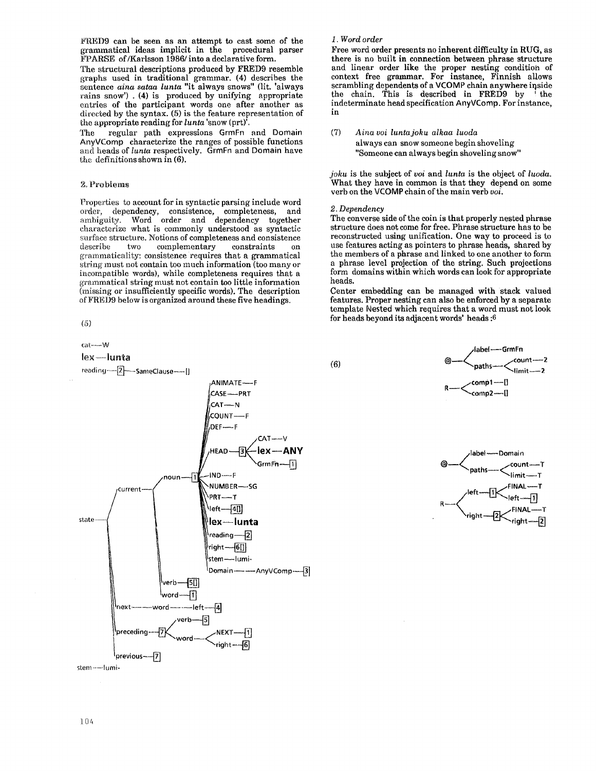FRED9 can be seen as an attempt to cast some of the grammatical ideas implicit in the procedural parser FPARSE of /Karlsson 1986/ into a declarative form.

The structural descriptions produced by FRED9 resemble straphs used in traditional grammar. (4) describes the sentence *aina sataa lunta* "it always snows" (lit. 'always rains snow'). (4) is produced by unifying appropriate entries of the participant words one after another as directed by the syntax. (5) is the feature representation of the appropriate reading for *lunta* 'snow (prt)<sup>'</sup>.

regular path expressions GrmFn and Domain The AnyVComp characterize the ranges of possible functions and heads of lunta respectively. GrmFn and Domain have the definitions shown in  $(6)$ .

## 2. Problems

Properties to account for in syntactic parsing include word order, dependency, consistence, completeness, and<br>ambiguity. Word order and dependency together characterize what is commonly understood as syntactic surface structure. Notions of completeness and consistence describe two complementary  $\!$  constraints grammaticality: consistence requires that a grammatical string must not contain too much information (too many or incompatible words), while completeness requires that a grammatical string must not contain too little information (missing or insufficiently specific words). The description of FRED9 below is organized around these five headings.

 $(5)$ 

cat----W

#### lex-lunta



# 1. Word order

Free word order presents no inherent difficulty in RUG, as there is no built in connection between phrase structure and linear order like the proper nesting condition of context free grammar. For instance, Finnish allows<br>scrambling dependents of a VCOMP chain anywhere inside the chain. This is described in FRED9 by the indeterminate head specification AnyVComp. For instance,  $\mathbf{in}$ 

 $(7)$ Aina voi lunta joku alkaa luoda always can snow someone begin shoveling "Someone can always begin shoveling snow"

joku is the subject of voi and lunta is the object of luoda. What they have in common is that they depend on some verb on the VCOMP chain of the main verb voi.

### 2. Dependency

The converse side of the coin is that properly nested phrase structure does not come for free. Phrase structure has to be reconstructed using unification. One way to proceed is to use features acting as pointers to phrase heads, shared by the members of a phrase and linked to one another to form a phrase level projection of the string. Such projections form domains within which words can look for appropriate heads.

Center embedding can be managed with stack valued features. Proper nesting can also be enforced by a separate template Nested which requires that a word must not look for heads beyond its adjacent words' heads:6